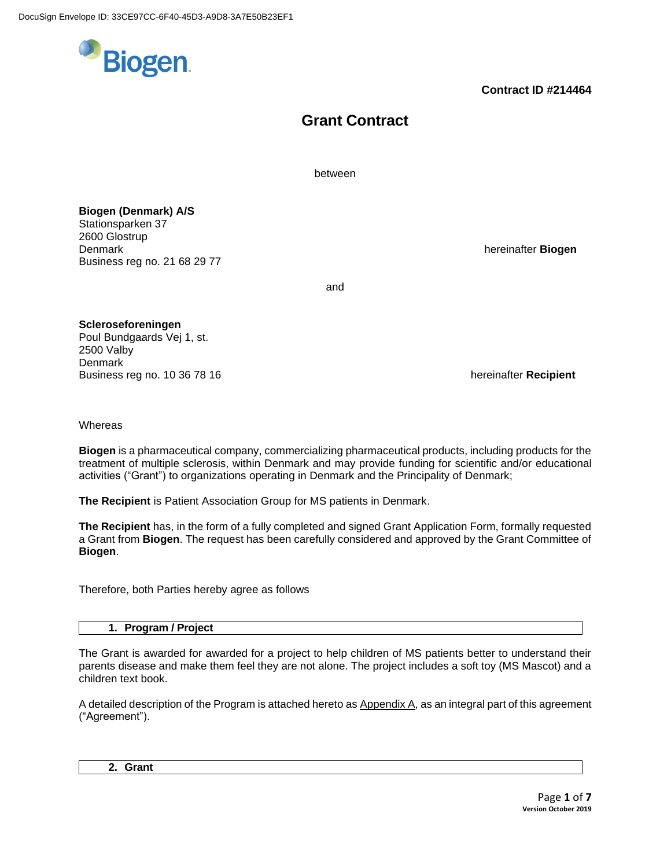

# **Grant Contract**

between

**Biogen (Denmark) A/S** Stationsparken 37 2600 Glostrup **Denmark hereinafter Biogen Community Community Community Community Community Community Community Community Community Community Community Community Community Community Community Community** Business reg no. 21 68 29 77

and

**Scleroseforeningen** Poul Bundgaards Vej 1, st. 2500 Valby **Denmark** Business reg no. 10 36 78 16 hereinafter **Recipient hereinafter Recipient** 

**Whereas** 

**Biogen** is a pharmaceutical company, commercializing pharmaceutical products, including products for the treatment of multiple sclerosis, within Denmark and may provide funding for scientific and/or educational activities ("Grant") to organizations operating in Denmark and the Principality of Denmark;

**The Recipient** is Patient Association Group for MS patients in Denmark.

**The Recipient** has, in the form of a fully completed and signed Grant Application Form, formally requested a Grant from **Biogen**. The request has been carefully considered and approved by the Grant Committee of **Biogen**.

Therefore, both Parties hereby agree as follows

## **1. Program / Project**

The Grant is awarded for awarded for a project to help children of MS patients better to understand their parents disease and make them feel they are not alone. The project includes a soft toy (MS Mascot) and a children text book.

A detailed description of the Program is attached hereto as Appendix A, as an integral part of this agreement ("Agreement").

**2. Grant**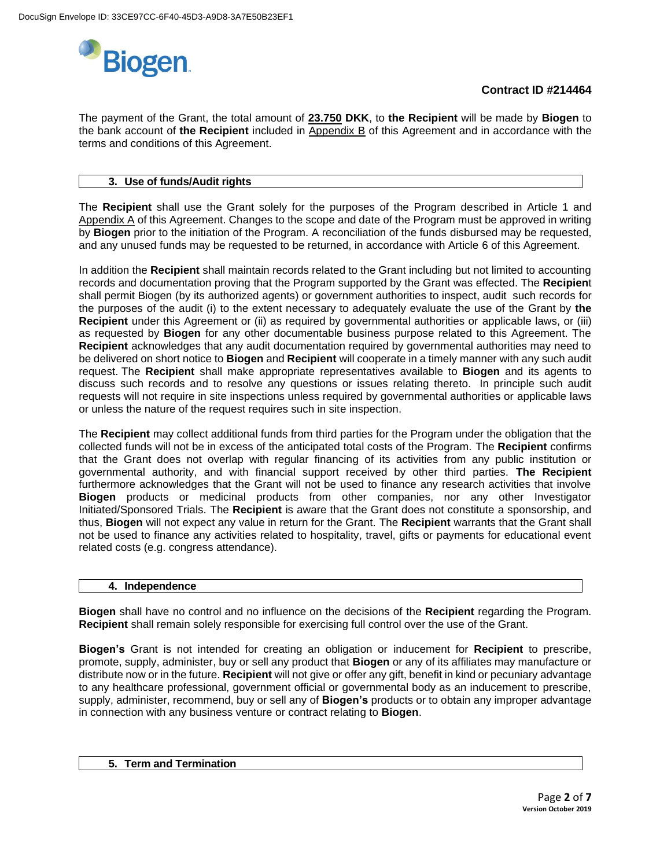

The payment of the Grant, the total amount of **23.750 DKK**, to **the Recipient** will be made by **Biogen** to the bank account of **the Recipient** included in Appendix B of this Agreement and in accordance with the terms and conditions of this Agreement.

## **3. Use of funds/Audit rights**

The **Recipient** shall use the Grant solely for the purposes of the Program described in Article 1 and Appendix A of this Agreement. Changes to the scope and date of the Program must be approved in writing by **Biogen** prior to the initiation of the Program. A reconciliation of the funds disbursed may be requested, and any unused funds may be requested to be returned, in accordance with Article 6 of this Agreement.

In addition the **Recipient** shall maintain records related to the Grant including but not limited to accounting records and documentation proving that the Program supported by the Grant was effected. The **Recipien**t shall permit Biogen (by its authorized agents) or government authorities to inspect, audit such records for the purposes of the audit (i) to the extent necessary to adequately evaluate the use of the Grant by **the Recipient** under this Agreement or (ii) as required by governmental authorities or applicable laws, or (iii) as requested by **Biogen** for any other documentable business purpose related to this Agreement. The **Recipient** acknowledges that any audit documentation required by governmental authorities may need to be delivered on short notice to **Biogen** and **Recipient** will cooperate in a timely manner with any such audit request. The **Recipient** shall make appropriate representatives available to **Biogen** and its agents to discuss such records and to resolve any questions or issues relating thereto. In principle such audit requests will not require in site inspections unless required by governmental authorities or applicable laws or unless the nature of the request requires such in site inspection.

The **Recipient** may collect additional funds from third parties for the Program under the obligation that the collected funds will not be in excess of the anticipated total costs of the Program. The **Recipient** confirms that the Grant does not overlap with regular financing of its activities from any public institution or governmental authority, and with financial support received by other third parties. **The Recipient** furthermore acknowledges that the Grant will not be used to finance any research activities that involve **Biogen** products or medicinal products from other companies, nor any other Investigator Initiated/Sponsored Trials. The **Recipient** is aware that the Grant does not constitute a sponsorship, and thus, **Biogen** will not expect any value in return for the Grant. The **Recipient** warrants that the Grant shall not be used to finance any activities related to hospitality, travel, gifts or payments for educational event related costs (e.g. congress attendance).

#### **4. Independence**

**Biogen** shall have no control and no influence on the decisions of the **Recipient** regarding the Program. **Recipient** shall remain solely responsible for exercising full control over the use of the Grant.

**Biogen's** Grant is not intended for creating an obligation or inducement for **Recipient** to prescribe, promote, supply, administer, buy or sell any product that **Biogen** or any of its affiliates may manufacture or distribute now or in the future. **Recipient** will not give or offer any gift, benefit in kind or pecuniary advantage to any healthcare professional, government official or governmental body as an inducement to prescribe, supply, administer, recommend, buy or sell any of **Biogen's** products or to obtain any improper advantage in connection with any business venture or contract relating to **Biogen**.

#### **5. Term and Termination**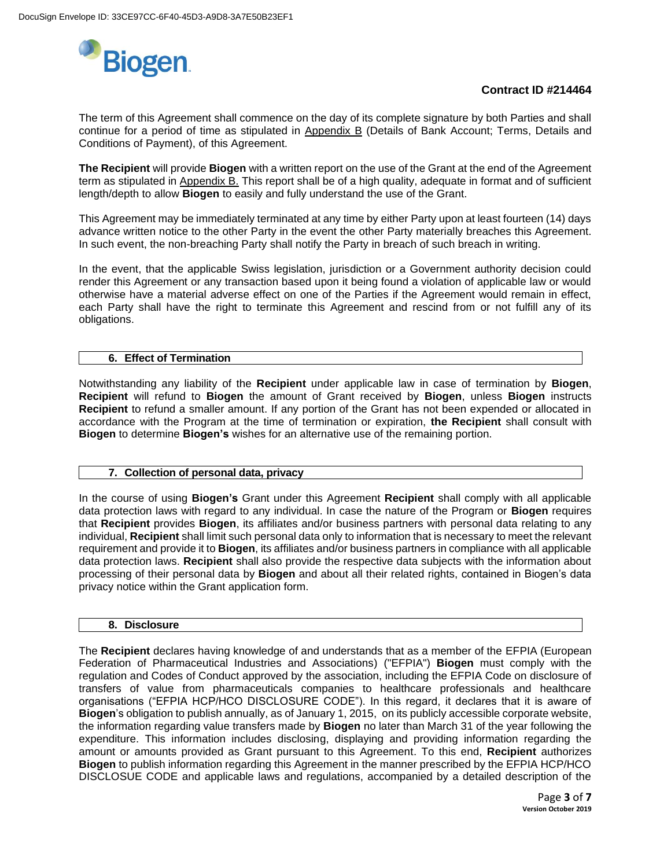

The term of this Agreement shall commence on the day of its complete signature by both Parties and shall continue for a period of time as stipulated in Appendix B (Details of Bank Account; Terms, Details and Conditions of Payment), of this Agreement.

**The Recipient** will provide **Biogen** with a written report on the use of the Grant at the end of the Agreement term as stipulated in Appendix B. This report shall be of a high quality, adequate in format and of sufficient length/depth to allow **Biogen** to easily and fully understand the use of the Grant.

This Agreement may be immediately terminated at any time by either Party upon at least fourteen (14) days advance written notice to the other Party in the event the other Party materially breaches this Agreement. In such event, the non-breaching Party shall notify the Party in breach of such breach in writing.

In the event, that the applicable Swiss legislation, jurisdiction or a Government authority decision could render this Agreement or any transaction based upon it being found a violation of applicable law or would otherwise have a material adverse effect on one of the Parties if the Agreement would remain in effect, each Party shall have the right to terminate this Agreement and rescind from or not fulfill any of its obligations.

### **6. Effect of Termination**

Notwithstanding any liability of the **Recipient** under applicable law in case of termination by **Biogen**, **Recipient** will refund to **Biogen** the amount of Grant received by **Biogen**, unless **Biogen** instructs **Recipient** to refund a smaller amount. If any portion of the Grant has not been expended or allocated in accordance with the Program at the time of termination or expiration, **the Recipient** shall consult with **Biogen** to determine **Biogen's** wishes for an alternative use of the remaining portion.

### **7. Collection of personal data, privacy**

In the course of using **Biogen's** Grant under this Agreement **Recipient** shall comply with all applicable data protection laws with regard to any individual. In case the nature of the Program or **Biogen** requires that **Recipient** provides **Biogen**, its affiliates and/or business partners with personal data relating to any individual, **Recipient** shall limit such personal data only to information that is necessary to meet the relevant requirement and provide it to **Biogen**, its affiliates and/or business partners in compliance with all applicable data protection laws. **Recipient** shall also provide the respective data subjects with the information about processing of their personal data by **Biogen** and about all their related rights, contained in Biogen's data privacy notice within the Grant application form.

#### **8. Disclosure**

The **Recipient** declares having knowledge of and understands that as a member of the EFPIA (European Federation of Pharmaceutical Industries and Associations) ("EFPIA") **Biogen** must comply with the regulation and Codes of Conduct approved by the association, including the EFPIA Code on disclosure of transfers of value from pharmaceuticals companies to healthcare professionals and healthcare organisations ("EFPIA HCP/HCO DISCLOSURE CODE"). In this regard, it declares that it is aware of **Biogen**'s obligation to publish annually, as of January 1, 2015, on its publicly accessible corporate website, the information regarding value transfers made by **Biogen** no later than March 31 of the year following the expenditure. This information includes disclosing, displaying and providing information regarding the amount or amounts provided as Grant pursuant to this Agreement. To this end, **Recipient** authorizes **Biogen** to publish information regarding this Agreement in the manner prescribed by the EFPIA HCP/HCO DISCLOSUE CODE and applicable laws and regulations, accompanied by a detailed description of the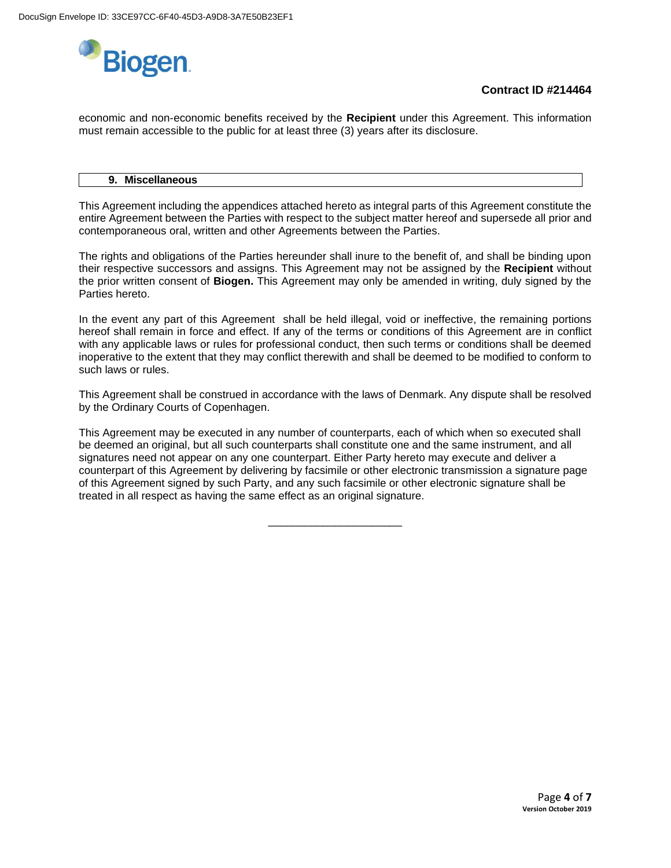

economic and non-economic benefits received by the **Recipient** under this Agreement. This information must remain accessible to the public for at least three (3) years after its disclosure.

#### **9. Miscellaneous**

This Agreement including the appendices attached hereto as integral parts of this Agreement constitute the entire Agreement between the Parties with respect to the subject matter hereof and supersede all prior and contemporaneous oral, written and other Agreements between the Parties.

The rights and obligations of the Parties hereunder shall inure to the benefit of, and shall be binding upon their respective successors and assigns. This Agreement may not be assigned by the **Recipient** without the prior written consent of **Biogen.** This Agreement may only be amended in writing, duly signed by the Parties hereto.

In the event any part of this Agreement shall be held illegal, void or ineffective, the remaining portions hereof shall remain in force and effect. If any of the terms or conditions of this Agreement are in conflict with any applicable laws or rules for professional conduct, then such terms or conditions shall be deemed inoperative to the extent that they may conflict therewith and shall be deemed to be modified to conform to such laws or rules.

This Agreement shall be construed in accordance with the laws of Denmark. Any dispute shall be resolved by the Ordinary Courts of Copenhagen.

This Agreement may be executed in any number of counterparts, each of which when so executed shall be deemed an original, but all such counterparts shall constitute one and the same instrument, and all signatures need not appear on any one counterpart. Either Party hereto may execute and deliver a counterpart of this Agreement by delivering by facsimile or other electronic transmission a signature page of this Agreement signed by such Party, and any such facsimile or other electronic signature shall be treated in all respect as having the same effect as an original signature.

\_\_\_\_\_\_\_\_\_\_\_\_\_\_\_\_\_\_\_\_\_\_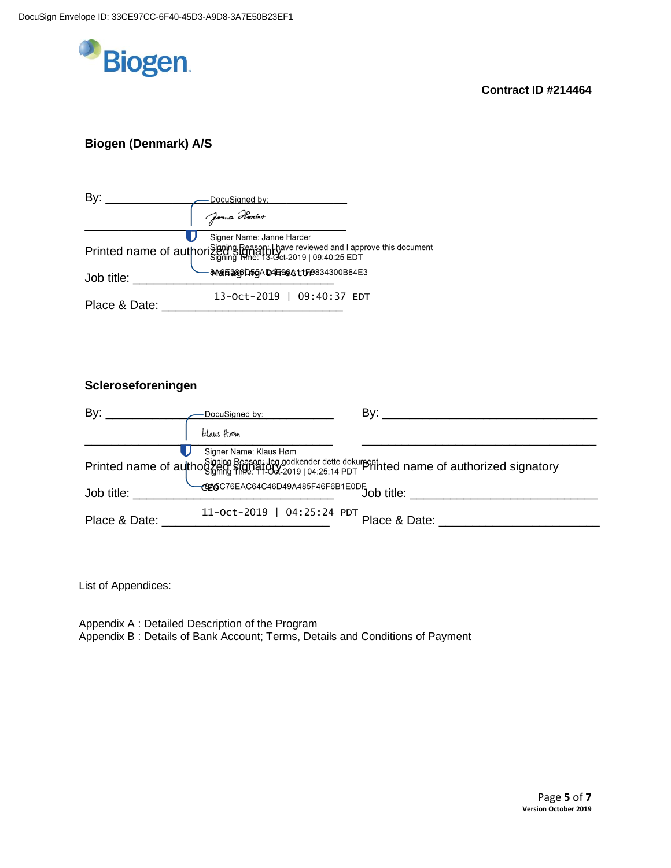

# **Biogen (Denmark) A/S**

| By:           | DocuSigned by:                                                                                                                                                      |  |
|---------------|---------------------------------------------------------------------------------------------------------------------------------------------------------------------|--|
|               | Jamma Harreler                                                                                                                                                      |  |
|               | Signer Name: Janne Harder<br>Printed name of authorisianing Reason: thave reviewed and I approve this document<br><b>МАЯБЭЗОРГАБА ДАН-ЭС А 1 ГР</b> 834300 В 84 Е 3 |  |
| Job title:    |                                                                                                                                                                     |  |
| Place & Date: | 13-Oct-2019   09:40:37 EDT                                                                                                                                          |  |

## **Scleroseforeningen**

| By: $\qquad \qquad$              | DocuSigned by:             |                                                                                                   |
|----------------------------------|----------------------------|---------------------------------------------------------------------------------------------------|
|                                  | klaus Hom                  |                                                                                                   |
|                                  | Signer Name: Klaus Høm     | Printed name of authogoning Reason; Jeg godkender dette dokumenthted name of authorized signatory |
| Job title: The Solid State State |                            |                                                                                                   |
| Place & Date:                    | 11-Oct-2019   04:25:24 PDT | Place & Date:                                                                                     |

List of Appendices:

Appendix A : Detailed Description of the Program Appendix B : Details of Bank Account; Terms, Details and Conditions of Payment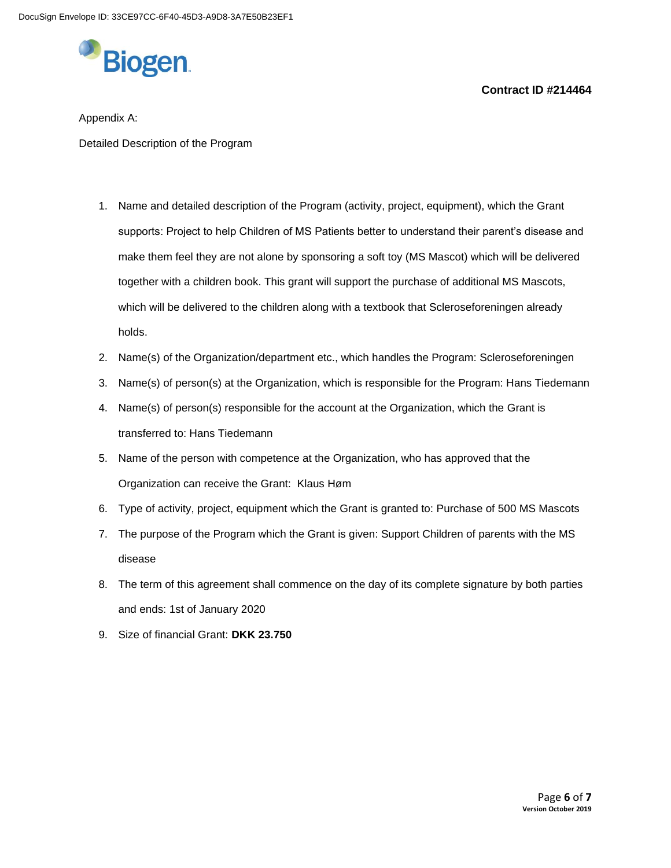

### Appendix A:

Detailed Description of the Program

- 1. Name and detailed description of the Program (activity, project, equipment), which the Grant supports: Project to help Children of MS Patients better to understand their parent's disease and make them feel they are not alone by sponsoring a soft toy (MS Mascot) which will be delivered together with a children book. This grant will support the purchase of additional MS Mascots, which will be delivered to the children along with a textbook that Scleroseforeningen already holds.
- 2. Name(s) of the Organization/department etc., which handles the Program: Scleroseforeningen
- 3. Name(s) of person(s) at the Organization, which is responsible for the Program: Hans Tiedemann
- 4. Name(s) of person(s) responsible for the account at the Organization, which the Grant is transferred to: Hans Tiedemann
- 5. Name of the person with competence at the Organization, who has approved that the Organization can receive the Grant: Klaus Høm
- 6. Type of activity, project, equipment which the Grant is granted to: Purchase of 500 MS Mascots
- 7. The purpose of the Program which the Grant is given: Support Children of parents with the MS disease
- 8. The term of this agreement shall commence on the day of its complete signature by both parties and ends: 1st of January 2020
- 9. Size of financial Grant: **DKK 23.750**

**Contract ID #214464**